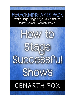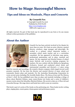# **How to Stage** *Successful* **Shows**

## **Tips and Ideas on Musicals, Plays and Concerts**

#### **By Cenarth Fox**

© Copyright Cenarth Fox 2016 Published by FOX PLAYS http://www.foxplays.com ISBN 978 0 949175 41 2

All rights reserved. No part of this book may be reproduced in any form or by any means without written permission of the publisher.

## **About the Author**



Cenarth Fox has been actively involved in live theatre for more than 50 years. He's been an actor, director, musical director, producer, stage manager and playwright. He worked as a primary school classroom teacher, a secondary school music teacher and as a curriculum consultant. He has appeared in television soap operas, professional pantomimes and in plays, musicals and operas. He has organised and directed dozens of school music festivals and in-service training programs for teachers. He was a soloist with the *Melbourne Symphony Orchestra,* formed and conducted school choirs and instrumental ensembles and directed a 17 piece swing

band for concerts and recordings. He created a theatre company which staged several world premiere musicals. He has been the director and musical director of many school and community theatre plays and musicals. For the Australian Broadcasting Corporation he wrote several series including *The Invisible Radio Show, The Story of Jazz* and *The History of Rock 'n Roll.* He has published more than 50 plays and musicals including a trilogy of shows about Sherlock Holmes, many music/drama text books and a series of children's mystery stories about the Schoolboy Sherlock Holmes. His novels to date are *A Plum Job* and *Cassocked Savage*. His stage shows and books have sold in some 50 countries.

This book is part of a series of five books on the performing arts. These books involve writing plays, staging plays, music games, drama games and performance poetry.

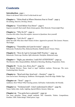## **Contents**

**Introduction** - page 1 What's it all about? Who's it for? Is this book for me?

**Chapter 1** - "Idiots Rush in Where Directors Fear to Tread" - page 3 Do nothing. Discover, Develop, Dream.

**Chapter 2** - "Crawl Before You Direct" - page 6 Improve yourself. Start small. Music-drama games. Mini-Musicals. Pennyweight Plays

**Chapter 3** - "Why Do It?" - page 11 Convince the critics. Sway the sceptics. Answers to Questions. Save yourself.

**Chapter 4** - "Let's Do It" - page 17 Select the staff. Who does what? Choice of show. Approval to proceed. The Licence. Finance. The budget.

**Chapter 5** - "Timetables ain't just for trains" - page 32 Rehearsals. Production Plan. Rehearsal Routine. Bulletin board. Venues. Times.

**Chapter 6** - "How do I get to Carnegie Hall? Practise." - page 44 Rehearsals. Warm-ups. Routine. Split rehearsals. Discipline. Rehearsal camp.

**Chapter 7** - "Right, pay attention. I said *PAY ATTENTION!*" - page 53 The Director. Role. Responsibilities. Methods of directing. Blocking. Preparation. Notes.

**Chapter 8** - *"A one, two, three, four!"* - page 62 The Musical Director. Piano, band or tape? Audition routines. Warm-ups. The score. Conducting hints. Encores.

**Chapter 9** - *"Bend and clap, bend and ... Damien!"* - page 73 Less can be more. Warming up. Auditions. Choreography. Dress the stage. Pitfalls. Tips.

**Chapter 10** - "Next!" - page 77 Auditions. How? When? Who? Scoring system. Call-backs. Understudies. Be Friendly.

**Chapter 11** - "Technical stuff - I don't understand it either!" - page 85 Venue. Safety risks. Audio. Lighting. Special Effects. Scenery. Make-up.

**Chapter 12** - "You gotta have a gimmick" - page 92 You must advertise. Cheap, simple methods. DIY. Gimmicks. Tickets. Competitions. Freebies. VIPS. Ticket design. Ticket prices. Logo.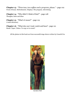**Chapter 13** - *"Three teas, two coffees and a program, please."* - page 102 Front of house. Refreshments. Displays. The program. Advertising.

**Chapter 14** - "Why didn't I think of that?" - page 108 Thoughts, hints and ideas

**Chapter 15** - "What's it mean?" - page 119

A mini-dictionary

**Chapter 16** - "What else can I read, watch and hear? - page 121 Books. Tapes. Videos. To copy or to create?

All the photos in this book are from successful stage shows written by Cenarth Fox



*Garden Folk*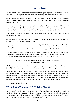## **Introduction**

Do you travel? Ever been interstate or abroad? Even popping next-door can be a bit of an adventure. Well if so you'll know what I mean when I say *staging a show is like travel.*

Some journeys are fantastic. You have great expectations, the actual trip is terrific, and you meet interesting people, see unusual and exciting things, *do* exciting and unusual things and bring home wonderful memories.

Some journeys are the pits. The plane/train/bus/car is late, overcrowded, delayed, and uncomfortable and breaks down. It never stops raining. A pickpocket takes you to the cleaners, the lavatory is not flushed with friendliness and you can't speak the lingo.

Well staging a show is like travel. Some journeys [shows] are sensational. Some journeys [shows] are definitely off.

So how do we get to take happy snaps? How do we make our hols, our vacation a stunning success? How can I stage successful shows?

I'm glad you asked because this book is all about just that. If you're going to travel, do it in style. Enjoy yourself. You don't need a fortune; you don't even have to go to the ends of the earth. Here are some tips and ideas on having a simple, enjoyable holiday. *Holiday!* 

Are you seriously equating organising a bunch of ego-mad, untalented, two-left-footed *"performers"* into something resembling entertainment with a *holiday*? Oh, come on! And you expect me to seriously consider the contents of this ... this ... *publication?* 

#### *I'm always reading to learn although I do not always like to be taught.*  **Winston Churchill**

Maybe you're a seasoned traveller; maybe you've staged many successful shows. If so, some [most?] of this book may seem irrelevant. You could skip the first five chapters.

My experience has been that whenever I think I know something, whenever I reckon I've got all the answers, then I'm in trouble. We can always improve, always learn and often from an unlikely source. A novice actor can deliver a speech in a new and interesting way. A young director can suggest a set design that works a treat. A parent waiting to collect their theatrical offspring can offer assistance that can save you hours of work and heaps of money.

Go on. Read the lot. I dare you!

### **What Sort of Show Are We Talking About?**

Yes, be specific. Well there is a concentration on the school musical but really you could be involved in just about any form of the performing arts - play, opera, musical, ballet, concert, revue, pantomime, talent quest, etc. It could be a huge, complex, expensive and lengthy performance or something simple, inexpensive, short 'n sweet.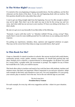### **Is The Writer Right?** [He means "correct"]

I've started at the *very* beginning of staging successful shows. Not the auditions, not the first rehearsal, not the choice of the show. To me, the real beginning deals with our motives. The first question should involve *why* rather than *what?*

I want to get one thing straight right from the beginning. You see I'm silly enough to admit I may not be right. That what I say is the *right* way may in fact be the *wrong* way and vice versa. And what really has me nervous is your reaction. If I leave you sitting on the fence, I've died a death.

My aim is to get you to say [inwardly if you like] either of the following.

*"Fantastic. I agree with that 100%."* or *"Absolute rubbish! Wrong, wrong, wrong!"* Okay, maybe there's room for some middle ground but I'm really keen on you making some kind of response.

I'm putting my experiences, mistakes, ideas, opinions and suggested solutions on paper. They may not be correct but if they help you stage successful shows, that's great!

### **Is This Book For Me?**

I hope so. Basically it's aimed at teachers in schools. But anyone involved with youth theatre, community groups, scouts, guides, amateur companies, etc should find practical tips and ideas. Perhaps you're a director, a musical-director or choreographer. Or all three! You could be a scenic-artist, a graphic-artist, the accountant or prompt. You mightn't be any of these but would like to be. Look, you could be anyone.

This book often refers to teachers and much of my work has been with students, teachers and amateur actors. But that's not important. What is important is you and *your situation*. Adapt each example in this book, each situation to your own. Use your imagination. It's your group, your concert, play or musical. You're the star. You're the one with the sign on your desk.

#### *The buck stops here.*  **President Harry Truman**

For each example, for every tip, with every suggestion and idea - relate it to *your* situation.

Let's go!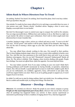## **Chapter 1**

## **Idiots Rush In Where Directors Fear To Tread**

Do nothing. Pardon? You heard. Do nothing. Don't board the plane. Don't even buy a ticket. Don't go anywhere. Stay put.

One mistake I've made [as have many others] is to try and stage a successful show too soon. A wise person once said, *"Hasten slowly".* Excellent advice. Staging a show is never easy. Staging a *successful* show is even harder.

But don't be discouraged. Learn to control your urge to conquer the world in five minutes. You *can* stage successful shows. Millions have and continue to do so. But there is a right way to get started. My advice is *temper your enthusiasm*. Don't rush in where angels [and wise directors] fear to tread. Consider this.

A teacher, busting to stage a show, arrives at a school and sets to work. *"I want to do this"* s/he says. *"It'll be great!"* And maybe it will be great. Maybe it'll be fantastic. But hang on. You run the risk of wearing a dozen eggs on your dial. And that's just for starters. Think about this.

1. You may offend those already working in this area. Put yourself in their position. They've been helping students stage a show for a year or more when suddenly in bursts a new face. You. And this new face announces to the world they're keen and rarin' to go on some fabuloso extravaganza. How do you feel? Threatened? Annoyed? Embarrassed? Maybe all three. No. The advice is definite. Wait. Staging a show involves dealing with people. People have feelings. You must not *offend* them. Quite the opposite. You must *befriend* them.

2. You may isolate yourself. Even if you enjoy working on your own [and I think that's inviting problems] you'll benefit enormously by having friendly, co-operative, industrious helpers. Boy will you benefit. A good right-hand wo/man is worth their weight in gold. But if you are too enthusiastic, too confident, aggressive, bossy, self-centred or just plain rude, you'll lose support before you start. There is an art in getting people to support you. It won't happen if you're *too* keen.

So whilst I've told you to start by doing *nothing*, that's not strictly true. Do nothing *obvious*. But in a subtle and sensible style, try doing three things. The three Ds.

## **Discover – Develop – Dream**

**Discover.** It's essential you *discover.* Study the people in your school, company or group. **People are the most important part of any show.** *Discover* who can do what. *Discover* what [if anything] has happened before you arrived. Is there anyone experienced or interested in performing? Is there a tradition of staging shows? If so, what has happened?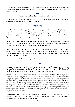Have previous shows been successful? Were there any major problems? What shows were staged? Why? How does the group operate? I mean, who makes the decisions? Who are the power-brokers?

#### **TIP**

It's not what you know but who and knowledge is power.

If you know *who* is influential and if you can win their support, your chances of staging successful shows immediately improve. Discover.

## **Develop**

**Develop**. Form relationships. Relate. Get on with people. If you're snobbish, timid, and aggressive or have halitosis and body odour, you could have problems. Major problems. People will shy away from you. This is bad news. You want them on your team. **Improve your social skills. Learn how to mix.** Within your school, theatre company or group - MIX! And if you can't mix - learn! Develop. Okay, how?

People I find boring are those who talk only or mainly about themselves. They seemingly have little or no interest in others. You'll get on much better with people and win their respect if you show an interest in them. And I mean a *real* interest.

Learn and remember their name. Use their name. Discover their interests. Sincerely [without being a sticky-beak] enquire about their situation. People like being remembered, being treated with kindness and genuine interest. *Please* and *thank you* don't cost anything and manners maketh the wo/man.

Use your social skills. Mix with everyone. Discover.

## **Dream**

**Dream.** Think about your show, your cast, your venue. It sounds corny but if you think positive, happy, successful thoughts [and you prepare thoroughly] you may well find yourself involved in a triumph. It helps if you have a vision. Become a dreamer.

There's an old cinema in my suburb. It's now a giant furniture warehouse. The seats, screen and ticket-box are long gone and the floor is piled high with chairs, lamps, desks, wardrobes and plumbing supplies. Whenever I have the chance, I stroll in the front door, imagine what films are showing [and it would be two features] and climb the stairs to the dress circle. Here the floor is raked, the ceiling intact [well, almost] and the proscenium-arch is a bit tacky but still in place. I dream. I think about all the stars who've graced the screen, the patrons who filed in here for their weekly entertainment. I dream of buying the building and converting it to its original state. Mind you I'd add facilities to perform live theatre, include a restaurant, art/craft studio and bookshop.

I think this is helpful. The dreaming I mean. Crazy but helpful. You can do likewise. Examine the performing spaces in your school, suburb or town. They need not be magnificent auditoriums with all manner of superb facilities.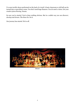I've seen terrific shows performed on the back of a truck! A basic classroom or old hall can be turned into a marvellous venue. You don't need huge finances. You *do* need a vision. Get your creative juices flowing. Dream.

So now you've started. You've done nothing obvious. But in a subtle way you can *discover, develop* and *dream*. The three Ds. Do it.

Our journey has started. We're off.



*Music!*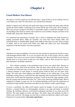## **Chapter 2**

### **Crawl Before You Direct**

Oh come on. Get the curtain up. On with the show. I mean at first it was *do nothing*. Now it's *crawl before you walk*. We want action. Let's call the first rehearsal!

Really? I suppose you're the type who packs their bags an hour before the plane takes off and spends the entire holiday wondering if you turned off the gas! Twit! Look, all I'm asking is, *Have you got your passport and ticket?* A reasonable request I would have thought. It's no use standing at the check-in counter only to discover your traveller's cheques are home in the bedside table. Keep calm. Hasten slowly.

I've mentioned the importance of people. Now I wish to emphasise the *skills* involved in staging successful shows. Skills are essential. You must have some theatre skills. Not necessarily fancy or detailed skills. Simple, basic skills are fine when you start. They're simple to obtain. And as you travel you'll refine your skills and collect new ones. Remember experience is the best teacher. Get some experience.

#### How?

Well there are many possibilities. Of course you may already be experienced and have many, well-developed theatre-skills. If so you can ignore this part of the journey and my earlier comment, *You're never too smart to learn something new.* But if you'd like to test what you already know or if you're keen to pick up a new skill/s, read on. Here are just two ways to gain experience. Invaluable experience.

1. Join a theatre company or the production team of your own school show. Become an assistant, a worker. Start from the bottom. After all, that's where all the real work is done. I've found one of the best ways to learn is to copy. [So much for teacher-training!] If you join a theatre-company [a local drama or musical group would be fine] you can learn many things. The same goes when helping your fellow teachers on the school play. If you work backstage moving scenery, you'll learn how this important task is performed. But you'll learn much more. You'll value the importance of silence. You'll see how the stage manager works, how the curtain and screens and scrims "fly". Don't worry about the technical lingo. Most is explained in Chapter 15 page 104. No, by working backstage you'll learn the importance of uncluttered wings and how much time and effort an actor needs to make a quick change.

If you're a performer, the skills you'll acquire cannot be bought. If you're going to be a director, a musical director or choreographer, having to act, sing and dance is essential training. By watching a director, you'll absorb techniques and ideas to use when *you're* the director. The same applies to music and dance. The styles, ideas and methods you like or which work, you'll use. The things you don't like or which you think have failed, you'll reject. Experience is a great teacher. **Get some experience.**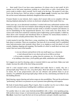2. Start small. Even if you have some experience, it's always wise to start small. So let's assume you've had some experience working on a school show or with a local group. Now you're ready to tackle a show yourself. You're ready to be the boss. The project is your idea. You're the driving force. Well my advice is simple. **Start small.** Curiosity may have killed the cat but excess enthusiasm absolutely slaughtered the novice director.

If music theatre is your interest, don't, repeat, *don't* mount *Aida* on ice complete with tapdancing elephants playing the overture on electronic xylophones! Start small. Start tiny.

Some years ago, as an educational consultant, I worked with many enthusiastic teachers who wanted to stage a show but were tentative about taking the plunge. The whole project seemed daunting. I mean a 70 minute musical can take weeks or months to prepare and rehearse. It can be intimidating for the inexperienced director. So I wrote some very short shows. Of course such works have existed for centuries [*opera buffa* being a good example]. I called my short shows *mini musicals* and introduced them at seminars for music/drama teachers. I made the teachers actually perform them. They were a hit!

A mini musical is just that. Most have a song, sometimes two, dialogue and the whole thing lasts about 15 minutes. There are exceptions. One lasts all of 123 seconds! And I've published some body-percussion mini musicals where there is no singing as such but plenty of vocal sounds, clapping, slapping and snapping. The benefits of a short or small show are many and varied. Here are some of the benefits.

- you can rehearse and perform in the one small space e.g. a classroom
	- total rehearsal time is very short and can be as little as an hour
- if you make a mistake e.g. casting, time for costumes, etc., it's no big deal
- by tackling a short show, you'll quickly gain skills, satisfaction and confidence

So I suggest you start by choosing a play or musical which is easy and short. Make your task simple. Increase the odds of the show being successful.

And if a *mini musical* seems a touch difficult [and really they're a cinch], why not a *pennyweight play?* These are very, *very* short plays. Most last about two minutes. There is no music, few if any props/scenery and you can rehearse and perform them in 30-40 minutes. I've published 48 *pennyweight plays* which are fun, entertaining and ideal for you the budding director.

Bush dancing, square dancing and action songs are also possibilities. They get the performers "performing" and there's no pressure on you to present some glittering extravaganza.

My book of music/drama games *Play It Again, Ham* is another way for you to direct, stage and work with your performers building their confidence and yours too!

Yet another idea is to enter some festivals/eisteddfods with a choir, verse-speaking group, folk/modern dance troupe or instrumental group. **Give yourself experience at running the show**. Learn how to get the best out of your performers and gain valuable experience.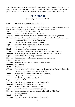And to illustrate what you could use, here is a *pennyweight play*. This work is subject to the laws of copyright but purchasers of *How to Stage Successful Shows* may stage amateur performances of this works without payment of any performing fee. Happy performing!

# **Up In Smoke**

#### **© Copyright Cenarth Fox 1993**

#### **Cast** Henpeck, Taps, Moitil, Shrapnel, Abbott

*[Setting: Interior of warehouse or factory. It's night, only dim lighting is used. The five business partners [male or female] are seated in various positions. TAPS hops up and paces up and down]*  **Taps** *[Pacing]* I don't like it. I don't like it all.

| Taps            | <i>[Pacing]</i> I don't like it. I don't like it all.                              |
|-----------------|------------------------------------------------------------------------------------|
| <b>Moitil</b>   | I'm lost. What comes after the signing bit?                                        |
|                 | Henpeck It's sink or swim time, folks. You knock this back and we'll all go under. |
| <b>Shrapnel</b> | But it's not our fault. The suppliers are always late. The customers want          |
|                 | ninety days. The workers strike for anything.                                      |
| <b>Abbott</b>   | The idea's a good one. Morally, it's spot-on.                                      |
| <b>Taps</b>     | I still don't like it. [Stops pacing] I tell you I'm scared.                       |
| Henpeck         | Anyone else got a better idea?                                                     |
| <b>Moitil</b>   | Better than what? [OTHERS groan or ignore MOITIL]                                  |
| <b>Abbott</b>   | And we <i>deserve</i> the money. We've built this business out of nothing.         |
| <b>Shrapnel</b> | We've been paying those ridiculous premiums for what  ten years?                   |
| <b>Taps</b>     | But it's illegal. If we're caught, we're dead.                                     |
| Henpeck         | We're dead anyway. The bank's given us forty-eight hours.                          |
| <b>Others</b>   | [Shocked] What!?                                                                   |
| Henpeck         | We need half a million by Tuesday. [OTHERS stunned]                                |
| <b>Shrapnel</b> | Half a million!                                                                    |
| <b>Moitil</b>   | This Tuesday?                                                                      |
| Abbott          | They're vultures. I'm telling you, we are absolute saints alongside that mob.      |
|                 | The real crooks are the insurers and the bankers.                                  |
| <b>Moitil</b>   | [Twigs] So that's it. We're robbin' the bank. [Is ignored]                         |
| Henpeck         | Let's put it to the vote. Those in favour?                                         |
|                 | [EVERYONE except MOITIL raises a hand]                                             |
| <b>Taps</b>     | I still don't like it.                                                             |
|                 | Henpeck Carried. [MOITIL suddenly raises a hand] Unanimously.                      |
| <b>Shrapnel</b> | I'm so angry I'll light the damn thing m'self.                                     |
| Abbott          | We're all angry but let's stick to the plan.                                       |
| <b>Taps</b>     | And you're sure the policy covers everything?                                      |
| <b>Henpeck</b>  | We set it, get out fast and provide each other with an alibi. Okay?                |
|                 | [OTHERS nod, agree]                                                                |
| <b>Moitil</b>   | What alibi?                                                                        |
| Henpeck         | I'll go out the back and start the fire. [Exits quickly]                           |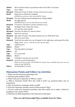| <b>Abbott</b>   | We've paid ten times in premiums what we'll collect. Ten times.                                                          |
|-----------------|--------------------------------------------------------------------------------------------------------------------------|
| <b>Taps</b>     | If we collect.                                                                                                           |
| <b>Shrapnel</b> | If they don't pay, I'll make 'em pay. [Smacks fist into palm]                                                            |
| <b>Moitil</b>   | When do we call the fire brigade?                                                                                        |
|                 | [OTHERS turn and stare at the curious MOITIL. Pause]                                                                     |
| <b>Shrapnel</b> | You saw nothing, heard nothing, know nothing. Right?                                                                     |
| <b>Moitil</b>   | Oh right, gotcha.                                                                                                        |
|                 | [HENPECK bursts in a bit out of breath and very excited]                                                                 |
| Henpeck         | I've done it. The place is on fire. [OTHERS anxious]                                                                     |
| <b>Taps</b>     | Oh flippin' heck, I hope this works.                                                                                     |
| <b>Moitil</b>   | Let's get the stock outside.                                                                                             |
| Shrapnel        | [Explodes] You idiot! It's meant to burn.                                                                                |
| <b>Abbott</b>   | And we're not here.                                                                                                      |
| Henpeck         | Stay calm. No panic. The policy's gunna save us. Well done Taps.                                                         |
| <b>Taps</b>     | Me? It was your idea.                                                                                                    |
| Henpeck         | Yeah but you made sure we all signed in the right place and posted the jolly                                             |
|                 | thing. [Smoke - dry ice - could start to swirl onto the stage]                                                           |
| <b>Taps</b>     | I didn't post it.                                                                                                        |
| <b>Others</b>   | What!?                                                                                                                   |
| <b>Taps</b>     | That big yellow envelope?                                                                                                |
| <b>Others</b>   | Yes!                                                                                                                     |
| <b>Taps</b>     | It's on my desk.                                                                                                         |
| <b>Others</b>   | What!?                                                                                                                   |
| <b>Taps</b>     | I thought it was the new art-work.                                                                                       |
| Henpeck         | [Going bananas] Get that policy!                                                                                         |
|                 | [Exits into the fire in haste. The OTHERS are stunned. Pause. Suddenly they yell as one and<br>madly exit after HENPECK] |
| <b>Others</b>   | Get that policy! [Curtain]                                                                                               |

### **Discussion Points and Follow-Up Activities**

- 1. What were the characters planning to do?
- 2. Did their plan backfire? Why?
- 3. What is the pun in Question 2? What is a pun?

4. What is insurance fraud? How else could it work? e.g. personal injury, loss of possessions.

- 5. How do insurance companies make a profit?
- 6. Were the characters morally correct in their actions? Why?

7. If you've paid your insurance premium, does this entitle you to make a claim for anything or any reason? Why?

8. What do you think happened to the characters in this play?

#### **There are 48 Pennyweight Plays available from Fox Plays**